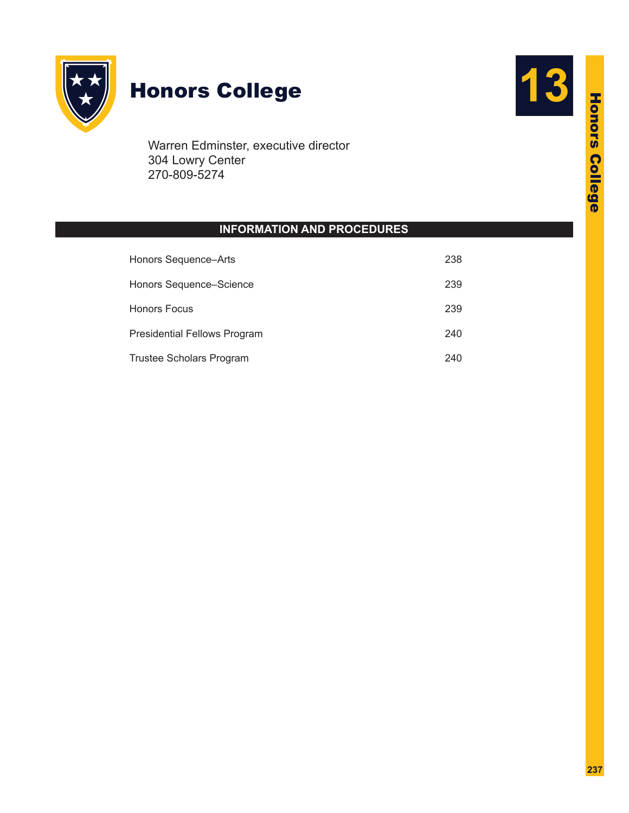

# Honors College **13**

Warren Edminster, executive director 304 Lowry Center 270-809-5274

# **INFORMATION AND PROCEDURES**

| Honors Sequence-Arts                | 238 |
|-------------------------------------|-----|
| Honors Sequence-Science             | 239 |
| <b>Honors Focus</b>                 | 239 |
| <b>Presidential Fellows Program</b> | 240 |
| <b>Trustee Scholars Program</b>     | 240 |

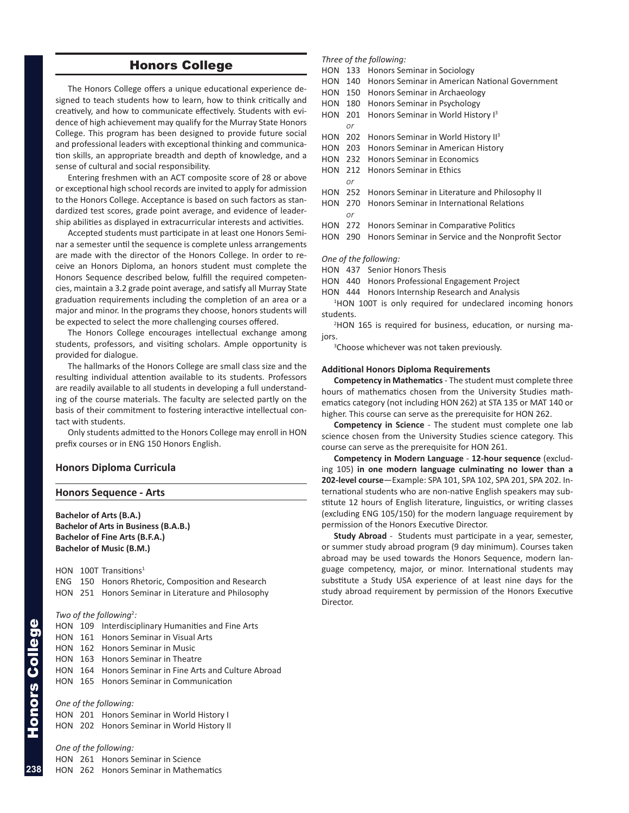# Honors College

<span id="page-1-0"></span>The Honors College offers a unique educational experience designed to teach students how to learn, how to think critically and creatively, and how to communicate effectively. Students with evidence of high achievement may qualify for the Murray State Honors College. This program has been designed to provide future social and professional leaders with exceptional thinking and communication skills, an appropriate breadth and depth of knowledge, and a sense of cultural and social responsibility.

Entering freshmen with an ACT composite score of 28 or above or exceptional high school records are invited to apply for admission to the Honors College. Acceptance is based on such factors as standardized test scores, grade point average, and evidence of leadership abilities as displayed in extracurricular interests and activities.

Accepted students must participate in at least one Honors Seminar a semester until the sequence is complete unless arrangements are made with the director of the Honors College. In order to receive an Honors Diploma, an honors student must complete the Honors Sequence described below, fulfill the required competencies, maintain a 3.2 grade point average, and satisfy all Murray State graduation requirements including the completion of an area or a major and minor. In the programs they choose, honors students will be expected to select the more challenging courses offered.

The Honors College encourages intellectual exchange among students, professors, and visiting scholars. Ample opportunity is provided for dialogue.

The hallmarks of the Honors College are small class size and the resulting individual attention available to its students. Professors are readily available to all students in developing a full understanding of the course materials. The faculty are selected partly on the basis of their commitment to fostering interactive intellectual contact with students.

Only students admitted to the Honors College may enroll in HON prefix courses or in ENG 150 Honors English.

### **Honors Diploma Curricula**

#### **Honors Sequence - Arts**

**Bachelor of Arts (B.A.) Bachelor of Arts in Business (B.A.B.) Bachelor of Fine Arts (B.F.A.) Bachelor of Music (B.M.)**

HON 100T Transitions<sup>1</sup> ENG 150 Honors Rhetoric, Composition and Research HON 251 Honors Seminar in Literature and Philosophy

#### Two of the following<sup>2</sup>:

|  | HON 109 Interdisciplinary Humanities and Fine Arts     |
|--|--------------------------------------------------------|
|  | HON 161 Honors Seminar in Visual Arts                  |
|  | <b>HON</b> 162 Honors Seminar in Music                 |
|  | HON 163 Honors Seminar in Theatre                      |
|  | HON 164 Honors Seminar in Fine Arts and Culture Abroad |
|  | <b>HON</b> 165 Honors Seminar in Communication         |
|  |                                                        |
|  |                                                        |

#### *One of the following:*

HON 201 Honors Seminar in World History I HON 202 Honors Seminar in World History II

# *One of the following:*

HON 261 Honors Seminar in Science HON 262 Honors Seminar in Mathematics

#### *Three of the following:*

- HON 133 Honors Seminar in Sociology
- HON 140 Honors Seminar in American National Government
- HON 150 Honors Seminar in Archaeology
- HON 180 Honors Seminar in Psychology

HON 201 Honors Seminar in World History I<sup>3</sup>  *or*

- HON 202 Honors Seminar in World History II<sup>3</sup>
- HON 203 Honors Seminar in American History
- HON 232 Honors Seminar in Economics
- HON 212 Honors Seminar in Ethics
- HON 252 Honors Seminar in Literature and Philosophy II
- HON 270 Honors Seminar in International Relations
- HON 272 Honors Seminar in Comparative Politics
- HON 290 Honors Seminar in Service and the Nonprofit Sector

#### *One of the following:*

 *or*

 $\alpha r$ 

- HON 437 Senior Honors Thesis
- HON 440 Honors Professional Engagement Project
- HON 444 Honors Internship Research and Analysis

<sup>1</sup>HON 100T is only required for undeclared incoming honors students.

2 HON 165 is required for business, education, or nursing majors.

<sup>3</sup>Choose whichever was not taken previously.

#### **Additional Honors Diploma Requirements**

**Competency in Mathematics** - The student must complete three hours of mathematics chosen from the University Studies mathematics category (not including HON 262) at STA 135 or MAT 140 or higher. This course can serve as the prerequisite for HON 262.

**Competency in Science** - The student must complete one lab science chosen from the University Studies science category. This course can serve as the prerequisite for HON 261.

**Competency in Modern Language** - **12-hour sequence** (excluding 105) **in one modern language culminating no lower than a 202-level course**—Example: SPA 101, SPA 102, SPA 201, SPA 202. International students who are non-native English speakers may substitute 12 hours of English literature, linguistics, or writing classes (excluding ENG 105/150) for the modern language requirement by permission of the Honors Executive Director.

**Study Abroad** - Students must participate in a year, semester, or summer study abroad program (9 day minimum). Courses taken abroad may be used towards the Honors Sequence, modern language competency, major, or minor. International students may substitute a Study USA experience of at least nine days for the study abroad requirement by permission of the Honors Executive **Director** 

**238**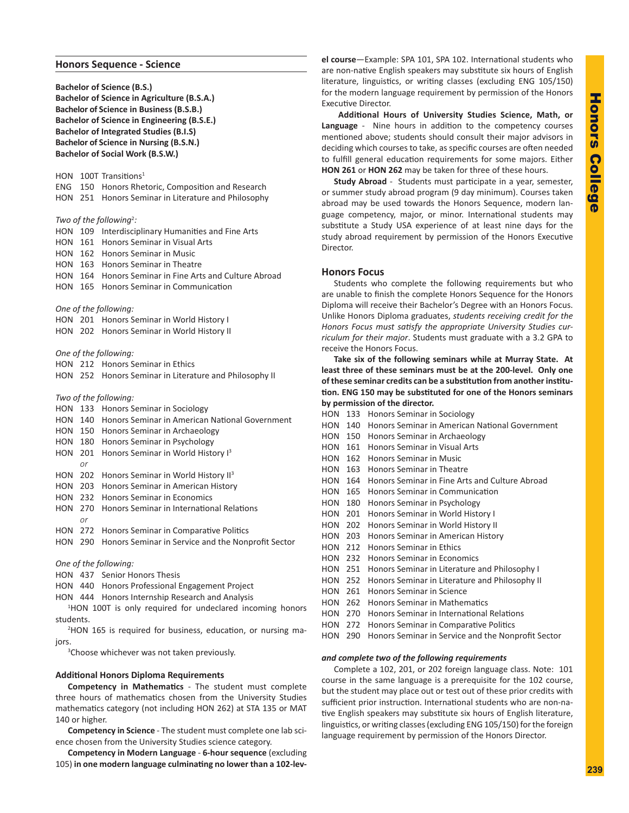#### <span id="page-2-0"></span>**Honors Sequence - Science**

**Bachelor of Science (B.S.) Bachelor of Science in Agriculture (B.S.A.) Bachelor of Science in Business (B.S.B.) Bachelor of Science in Engineering (B.S.E.) Bachelor of Integrated Studies (B.I.S) Bachelor of Science in Nursing (B.S.N.) Bachelor of Social Work (B.S.W.)**

HON 100T Transitions<sup>1</sup>

ENG 150 Honors Rhetoric, Composition and Research HON 251 Honors Seminar in Literature and Philosophy

#### Two of the following<sup>2</sup>:

HON 109 Interdisciplinary Humanities and Fine Arts HON 161 Honors Seminar in Visual Arts HON 162 Honors Seminar in Music HON 163 Honors Seminar in Theatre

HON 164 Honors Seminar in Fine Arts and Culture Abroad

HON 165 Honors Seminar in Communication

#### *One of the following:*

- HON 201 Honors Seminar in World History I
- HON 202 Honors Seminar in World History II

*One of the following:*

HON 212 Honors Seminar in Ethics HON 252 Honors Seminar in Literature and Philosophy II

- *Two of the following:*
- HON 133 Honors Seminar in Sociology HON 140 Honors Seminar in American National Government HON 150 Honors Seminar in Archaeology HON 180 Honors Seminar in Psychology HON 201 Honors Seminar in World History I<sup>3</sup>  *or* HON 202 Honors Seminar in World History II<sup>3</sup> HON 203 Honors Seminar in American History HON 232 Honors Seminar in Economics HON 270 Honors Seminar in International Relations  *or* HON 272 Honors Seminar in Comparative Politics HON 290 Honors Seminar in Service and the Nonprofit Sector

*One of the following:*

- HON 437 Senior Honors Thesis
- HON 440 Honors Professional Engagement Project
- HON 444 Honors Internship Research and Analysis

<sup>1</sup>HON 100T is only required for undeclared incoming honors students.

2 HON 165 is required for business, education, or nursing majors.

<sup>3</sup>Choose whichever was not taken previously.

#### **Additional Honors Diploma Requirements**

**Competency in Mathematics** - The student must complete three hours of mathematics chosen from the University Studies mathematics category (not including HON 262) at STA 135 or MAT 140 or higher.

**Competency in Science** - The student must complete one lab science chosen from the University Studies science category.

**Competency in Modern Language** - **6-hour sequence** (excluding 105) **in one modern language culminating no lower than a 102-lev-** **el course**—Example: SPA 101, SPA 102. International students who are non-native English speakers may substitute six hours of English literature, linguistics, or writing classes (excluding ENG 105/150) for the modern language requirement by permission of the Honors Executive Director.

**Additional Hours of University Studies Science, Math, or Language** - Nine hours in addition to the competency courses mentioned above; students should consult their major advisors in deciding which courses to take, as specific courses are often needed to fulfill general education requirements for some majors. Either **HON 261** or **HON 262** may be taken for three of these hours.

**Study Abroad** - Students must participate in a year, semester, or summer study abroad program (9 day minimum). Courses taken abroad may be used towards the Honors Sequence, modern language competency, major, or minor. International students may substitute a Study USA experience of at least nine days for the study abroad requirement by permission of the Honors Executive Director.

## **Honors Focus**

Students who complete the following requirements but who are unable to finish the complete Honors Sequence for the Honors Diploma will receive their Bachelor's Degree with an Honors Focus. Unlike Honors Diploma graduates, *students receiving credit for the Honors Focus must satisfy the appropriate University Studies curriculum for their major*. Students must graduate with a 3.2 GPA to receive the Honors Focus.

**Take six of the following seminars while at Murray State. At least three of these seminars must be at the 200-level. Only one of these seminar credits can be a substitution from another institution. ENG 150 may be substituted for one of the Honors seminars by permission of the director.**

HON 133 Honors Seminar in Sociology HON 140 Honors Seminar in American National Government HON 150 Honors Seminar in Archaeology HON 161 Honors Seminar in Visual Arts HON 162 Honors Seminar in Music HON 163 Honors Seminar in Theatre HON 164 Honors Seminar in Fine Arts and Culture Abroad HON 165 Honors Seminar in Communication HON 180 Honors Seminar in Psychology HON 201 Honors Seminar in World History I HON 202 Honors Seminar in World History II HON 203 Honors Seminar in American History HON 212 Honors Seminar in Ethics HON 232 Honors Seminar in Economics HON 251 Honors Seminar in Literature and Philosophy I HON 252 Honors Seminar in Literature and Philosophy II HON 261 Honors Seminar in Science HON 262 Honors Seminar in Mathematics HON 270 Honors Seminar in International Relations HON 272 Honors Seminar in Comparative Politics HON 290 Honors Seminar in Service and the Nonprofit Sector

## *and complete two of the following requirements*

Complete a 102, 201, or 202 foreign language class. Note: 101 course in the same language is a prerequisite for the 102 course, but the student may place out or test out of these prior credits with sufficient prior instruction. International students who are non-native English speakers may substitute six hours of English literature, linguistics, or writing classes (excluding ENG 105/150) for the foreign language requirement by permission of the Honors Director.